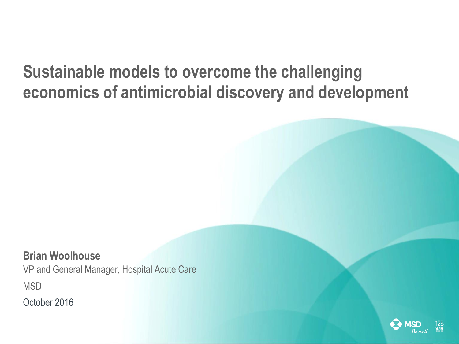### **Sustainable models to overcome the challenging economics of antimicrobial discovery and development**

**Brian Woolhouse** VP and General Manager, Hospital Acute Care **MSD** October 2016

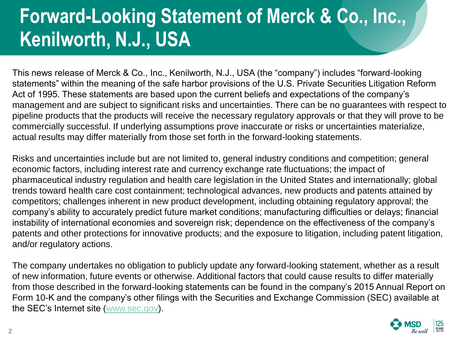# **Forward-Looking Statement of Merck & Co., Inc., Kenilworth, N.J., USA**

This news release of Merck & Co., Inc., Kenilworth, N.J., USA (the "company") includes "forward-looking statements" within the meaning of the safe harbor provisions of the U.S. Private Securities Litigation Reform Act of 1995. These statements are based upon the current beliefs and expectations of the company's management and are subject to significant risks and uncertainties. There can be no guarantees with respect to pipeline products that the products will receive the necessary regulatory approvals or that they will prove to be commercially successful. If underlying assumptions prove inaccurate or risks or uncertainties materialize, actual results may differ materially from those set forth in the forward-looking statements.

Risks and uncertainties include but are not limited to, general industry conditions and competition; general economic factors, including interest rate and currency exchange rate fluctuations; the impact of pharmaceutical industry regulation and health care legislation in the United States and internationally; global trends toward health care cost containment; technological advances, new products and patents attained by competitors; challenges inherent in new product development, including obtaining regulatory approval; the company's ability to accurately predict future market conditions; manufacturing difficulties or delays; financial instability of international economies and sovereign risk; dependence on the effectiveness of the company's patents and other protections for innovative products; and the exposure to litigation, including patent litigation, and/or regulatory actions.

The company undertakes no obligation to publicly update any forward-looking statement, whether as a result of new information, future events or otherwise. Additional factors that could cause results to differ materially from those described in the forward-looking statements can be found in the company's 2015 Annual Report on Form 10-K and the company's other filings with the Securities and Exchange Commission (SEC) available at the SEC's Internet site ([www.sec.gov](http://www.sec.gov/)).

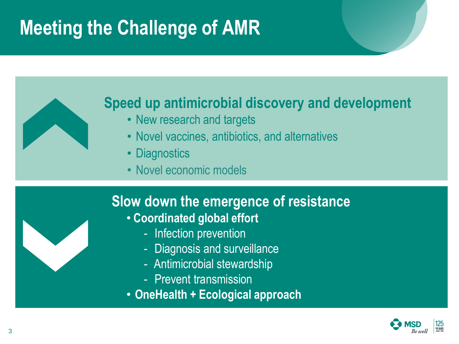# **Meeting the Challenge of AMR**



- New research and targets
- Novel vaccines, antibiotics, and alternatives
- Diagnostics
- Novel economic models

### **Slow down the emergence of resistance**

- **Coordinated global effort**
	- Infection prevention
	- Diagnosis and surveillance
	- Antimicrobial stewardship
	- Prevent transmission
- **OneHealth + Ecological approach**

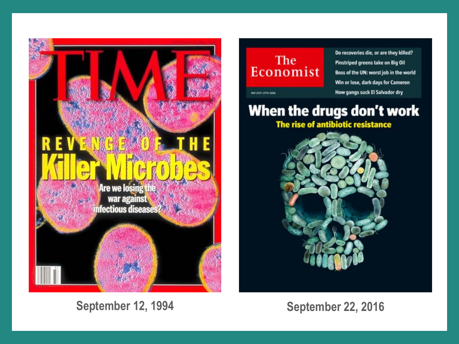

**September 12, 1994 September 22, 2016**

#### The Economist

Do recoveries die, or are they killed? Pinstriped greens take on Big Oil Boss of the UN: worst job in the world Win or lose, dark days for Cameron How gangs suck El Salvador dry

**MAY 2157-277H 2016** 

### When the drugs don't work

The rise of antibiotic resistance

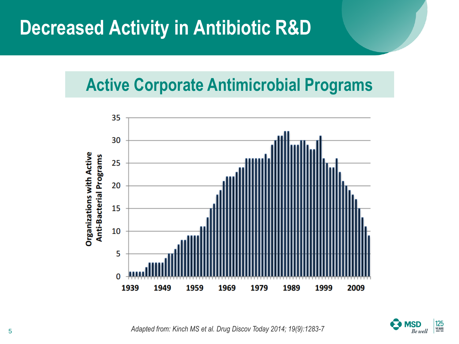## **Decreased Activity in Antibiotic R&D**

### **Active Corporate Antimicrobial Programs**





<sup>5</sup> *Adapted from: Kinch MS et al. Drug Discov Today 2014; 19(9):1283-7*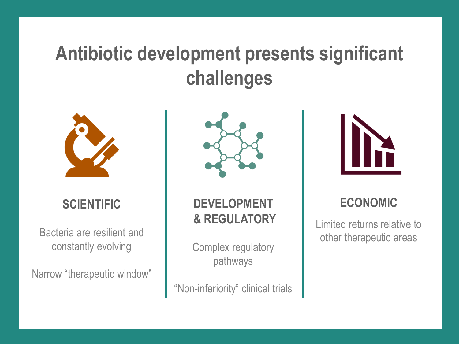## **Antibiotic development presents significant challenges**



#### **SCIENTIFIC**

Bacteria are resilient and constantly evolving

Narrow "therapeutic window"



**DEVELOPMENT & REGULATORY**

Complex regulatory pathways

"Non-inferiority" clinical trials



#### **ECONOMIC**

Limited returns relative to other therapeutic areas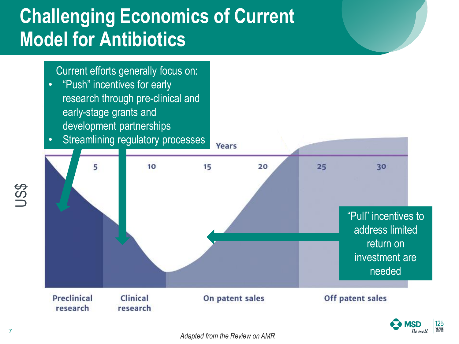# **Challenging Economics of Current Model for Antibiotics**

#### Current efforts generally focus on:

- "Push" incentives for early research through pre-clinical and early-stage grants and development partnerships
- Streamlining regulatory processes





US\$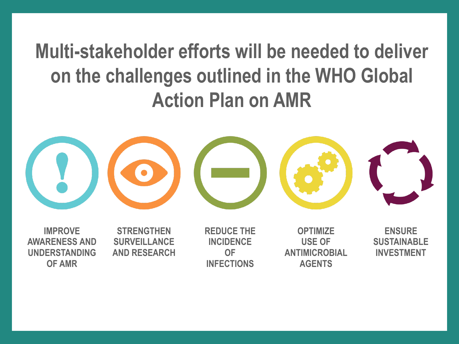# **Multi-stakeholder efforts will be needed to deliver on the challenges outlined in the WHO Global Action Plan on AMR**



**IMPROVE AWARENESS AND UNDERSTANDING OF AMR**

**STRENGTHEN SURVEILLANCE AND RESEARCH** **REDUCE THE INCIDENCE OF INFECTIONS**

**OPTIMIZE USE OF ANTIMICROBIAL AGENTS**

**ENSURE SUSTAINABLE INVESTMENT**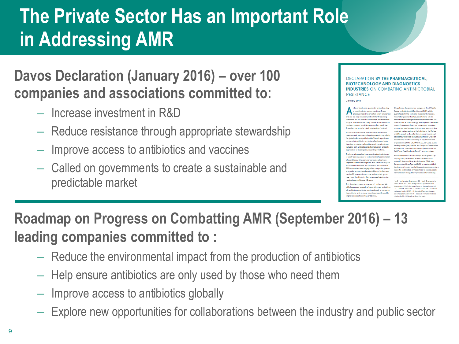# **The Private Sector Has an Important Role in Addressing AMR**

### **Davos Declaration (January 2016) – over 100 companies and associations committed to:**

- Increase investment in R&D
- Reduce resistance through appropriate stewardship
- Improve access to antibiotics and vaccines
- Called on governments to create a sustainable and predictable market

| <b>INDUSTRIES ON COMBATING ANTIMICROBIAL</b><br><b>RESISTANCE</b>                                                                                                                                                                                                                                                                                                                                                                                                                                                                                                                                                                                                                                                                                                                                                                                                                                                                                                                                                                                                                                                                                                                                                                                                                                                                                                  |                                                                                                                                                                                                                                                                                                                                                                                                                                                                                                                                                                                                                                                                                                                                                                                                                                                                                                                                                                                                                                                                                                                                                                                                                                                                                                                                  |
|--------------------------------------------------------------------------------------------------------------------------------------------------------------------------------------------------------------------------------------------------------------------------------------------------------------------------------------------------------------------------------------------------------------------------------------------------------------------------------------------------------------------------------------------------------------------------------------------------------------------------------------------------------------------------------------------------------------------------------------------------------------------------------------------------------------------------------------------------------------------------------------------------------------------------------------------------------------------------------------------------------------------------------------------------------------------------------------------------------------------------------------------------------------------------------------------------------------------------------------------------------------------------------------------------------------------------------------------------------------------|----------------------------------------------------------------------------------------------------------------------------------------------------------------------------------------------------------------------------------------------------------------------------------------------------------------------------------------------------------------------------------------------------------------------------------------------------------------------------------------------------------------------------------------------------------------------------------------------------------------------------------------------------------------------------------------------------------------------------------------------------------------------------------------------------------------------------------------------------------------------------------------------------------------------------------------------------------------------------------------------------------------------------------------------------------------------------------------------------------------------------------------------------------------------------------------------------------------------------------------------------------------------------------------------------------------------------------|
| January 2016                                                                                                                                                                                                                                                                                                                                                                                                                                                                                                                                                                                                                                                                                                                                                                                                                                                                                                                                                                                                                                                                                                                                                                                                                                                                                                                                                       |                                                                                                                                                                                                                                                                                                                                                                                                                                                                                                                                                                                                                                                                                                                                                                                                                                                                                                                                                                                                                                                                                                                                                                                                                                                                                                                                  |
| ntimicrobials, and specifically antibiotics, play<br>a crucial role in modern medicine. These<br>precious medicines are often taken for granted<br>and are not only necessary to treat life-threatening<br>infections, but are also vital to underpin most common<br>surgical procedures and many chronic treatments such<br>as chemotherapy and HIV and transplant medicines.<br>They also play a crucial role in the health of animals.<br>The increase in bacterial resistance to antibiotics has<br>been dramatic, and combating this growth is a top priority<br>for global policy and public health. There is a particular<br>concern that antibiotics are losing effectiveness faster<br>than they are being replaced by new, innovative drugs,<br>including both antibiotics and alternative non-antibiotic<br>approaches to treating and preventing infections.<br>This innovation gap has been examined extensively and<br>is widely acknowledged to be the result of a combination<br>of scientific as well as commercial barriers that have<br>impoded antibiotic development over a number of years.<br>The scientific difficulties are formidable and traditional<br>R&D approaches have largely failed: companies, private<br>and public funders have invested billions of dollars over<br>the last 20 years to discover new antibacterials, yet no | We welcome the economic analysis of Jim O'Neill's<br>Review on Antimicrobial Resistance (AMR), which<br>quantifies both the costs and investments needed.<br>The challenges are clearly substantial and call for<br>transformational changes from many stakeholders. The<br>pharmacoutical, biotochnology, and disgnostics industrie<br>have an important role to play, and we are committed<br>to doing our part, Leadership from other sectors is also<br>required, and we welcome the initiative of the Review<br>on AMR, as well as the attention of governments and<br>politicians world-wide (including the recent G7 Berlin<br>declaration), and the leadership of key international<br>organisations (WHO, OIE, FAO, ECDC, US CDC), public<br>funding bodies (NIH, BAREA, the European Commission<br>and IMI), and charitable foundations (Wellcome Trust,<br>BMGF, and Pow Charitable Trusts)*, amongst others,<br>We similarly welcome those steps already taken by<br>key reculatory authorities around the world, such<br>as the US Food and Drug Administration (FDA) and<br>European Medicines Agency (EMA), to enable antibiotic<br>development in advance of widespread resistance, and w<br>support a continuation of these efforts to ensure greater<br>harmonisation of regulatory processes internationally. |
| naw class of antibiotic for Gram-negative infections has<br>reached approval in over 40 years.<br>This situation poses a unique set of challenges. We<br>will always need a supply of innovative new antibiotics:<br>all antibiotics need to be used cautiously to conserve                                                                                                                                                                                                                                                                                                                                                                                                                                                                                                                                                                                                                                                                                                                                                                                                                                                                                                                                                                                                                                                                                        | * WHO - World Health Organization; OIE - World Organisation for<br>Animal wealth: FAO - Food and Agriculture Organisation of the<br>United Nations: ECDC - European Centre for Disease Control: US<br>CDC - Linkon States Conters for Disease Control: MH - US National<br>Institutes of Health: IARDA - US Blomesical Advances Research                                                                                                                                                                                                                                                                                                                                                                                                                                                                                                                                                                                                                                                                                                                                                                                                                                                                                                                                                                                         |
|                                                                                                                                                                                                                                                                                                                                                                                                                                                                                                                                                                                                                                                                                                                                                                                                                                                                                                                                                                                                                                                                                                                                                                                                                                                                                                                                                                    |                                                                                                                                                                                                                                                                                                                                                                                                                                                                                                                                                                                                                                                                                                                                                                                                                                                                                                                                                                                                                                                                                                                                                                                                                                                                                                                                  |

### **Roadmap on Progress on Combatting AMR (September 2016) – 13 leading companies committed to :**

- Reduce the environmental impact from the production of antibiotics
- Help ensure antibiotics are only used by those who need them
- Improve access to antibiotics globally
- Explore new opportunities for collaborations between the industry and public sector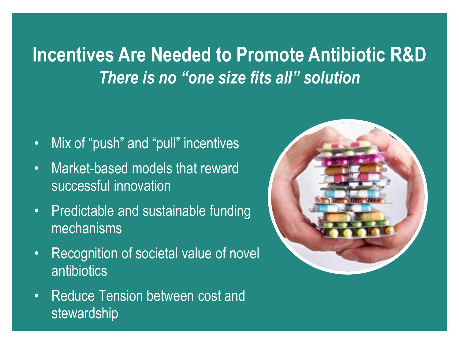## **Incentives Are Needed to Promote Antibiotic R&D** *There is no "one size fits all" solution*

- Mix of "push" and "pull" incentives
- Market-based models that reward successful innovation
- Predictable and sustainable funding mechanisms
- Recognition of societal value of novel antibiotics
- Reduce Tension between cost and stewardship

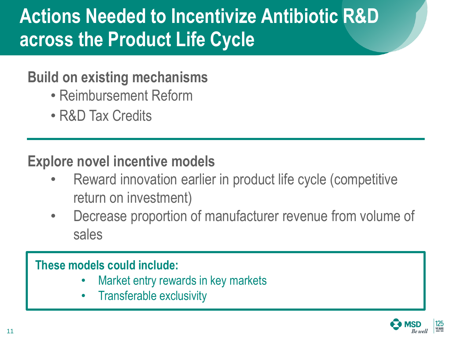# **Actions Needed to Incentivize Antibiotic R&D across the Product Life Cycle**

### **Build on existing mechanisms**

- Reimbursement Reform
- R&D Tax Credits

### **Explore novel incentive models**

- Reward innovation earlier in product life cycle (competitive return on investment)
- Decrease proportion of manufacturer revenue from volume of sales

#### **These models could include:**

- Market entry rewards in key markets
- Transferable exclusivity

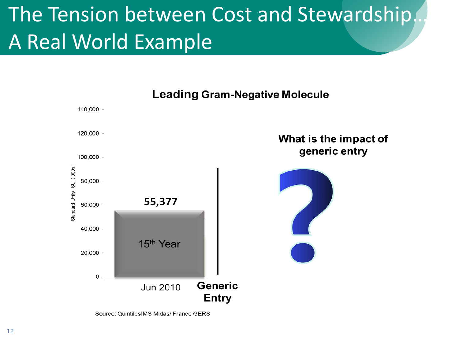# The Tension between Cost and Stewardship. A Real World Example



**Leading Gram-Negative Molecule** 

Source: QuintilesIMS Midas/ France GERS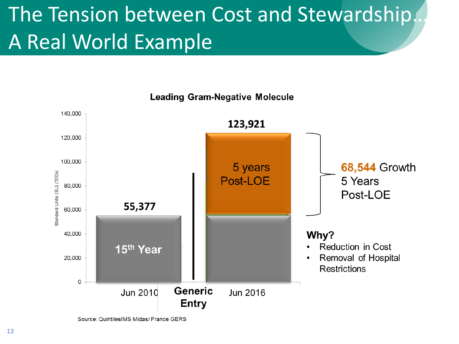# The Tension between Cost and Stewardship. A Real World Example



**Leading Gram-Negative Molecule** 

Source: QuintilesIMS Midas/ France GERS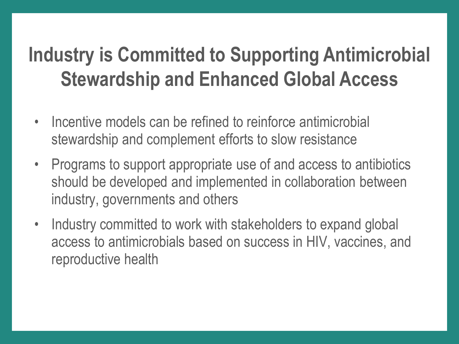# **Industry is Committed to Supporting Antimicrobial Stewardship and Enhanced Global Access**

- Incentive models can be refined to reinforce antimicrobial stewardship and complement efforts to slow resistance
- Programs to support appropriate use of and access to antibiotics should be developed and implemented in collaboration between industry, governments and others
- Industry committed to work with stakeholders to expand global access to antimicrobials based on success in HIV, vaccines, and reproductive health